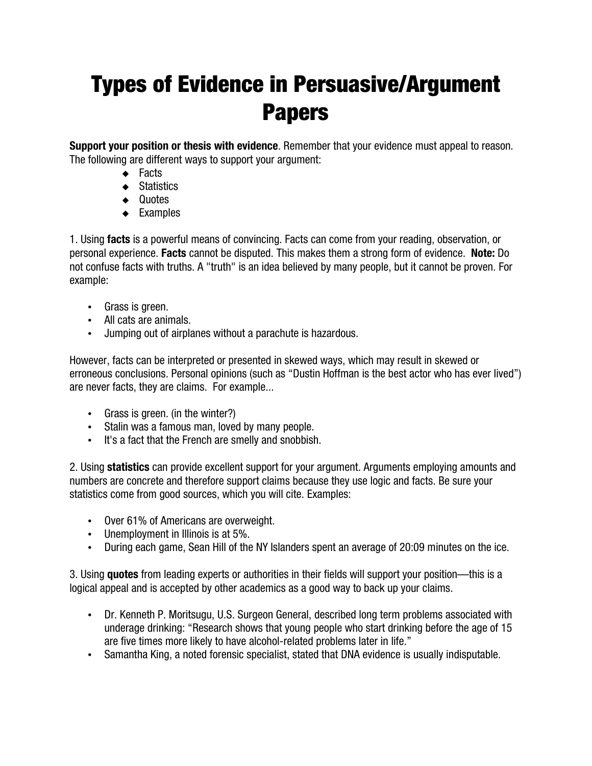## Types of Evidence in Persuasive/Argument Papers

**Support your position or thesis with evidence**. Remember that your evidence must appeal to reason. The following are different ways to support your argument:

- ◆ Facts
- ◆ Statistics
- ◆ Quotes
- Examples

1. Using **facts** is a powerful means of convincing. Facts can come from your reading, observation, or personal experience. **Facts** cannot be disputed. This makes them a strong form of evidence. **Note:** Do not confuse facts with truths. A "truth" is an idea believed by many people, but it cannot be proven. For example:

- Grass is green.
- All cats are animals.
- Jumping out of airplanes without a parachute is hazardous.

However, facts can be interpreted or presented in skewed ways, which may result in skewed or erroneous conclusions. Personal opinions (such as "Dustin Hoffman is the best actor who has ever lived") are never facts, they are claims. For example...

- Grass is green. (in the winter?)
- Stalin was a famous man, loved by many people.
- It's a fact that the French are smelly and snobbish.

2. Using **statistics** can provide excellent support for your argument. Arguments employing amounts and numbers are concrete and therefore support claims because they use logic and facts. Be sure your statistics come from good sources, which you will cite. Examples:

- Over 61% of Americans are overweight.
- Unemployment in Illinois is at 5%.
- During each game, Sean Hill of the NY Islanders spent an average of 20:09 minutes on the ice.

3. Using **quotes** from leading experts or authorities in their fields will support your position—this is a logical appeal and is accepted by other academics as a good way to back up your claims.

- Dr. Kenneth P. Moritsugu, U.S. Surgeon General, described long term problems associated with underage drinking: "Research shows that young people who start drinking before the age of 15 are five times more likely to have alcohol-related problems later in life."
- Samantha King, a noted forensic specialist, stated that DNA evidence is usually indisputable.